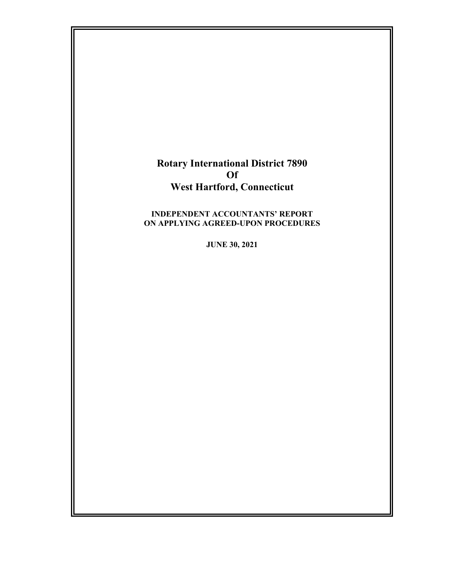# **Rotary International District 7890 Of West Hartford, Connecticut**

#### **INDEPENDENT ACCOUNTANTS' REPORT ON APPLYING AGREED-UPON PROCEDURES**

**JUNE 30, 2021**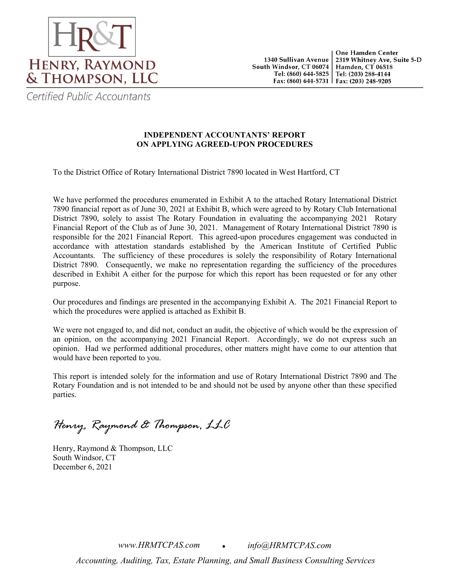

Certified Public Accountants

### **INDEPENDENT ACCOUNTANTS' REPORT ON APPLYING AGREED-UPON PROCEDURES**

To the District Office of Rotary International District 7890 located in West Hartford, CT

We have performed the procedures enumerated in Exhibit A to the attached Rotary International District 7890 financial report as of June 30, 2021 at Exhibit B, which were agreed to by Rotary Club International District 7890, solely to assist The Rotary Foundation in evaluating the accompanying 2021 Rotary Financial Report of the Club as of June 30, 2021. Management of Rotary International District 7890 is responsible for the 2021 Financial Report. This agreed-upon procedures engagement was conducted in accordance with attestation standards established by the American Institute of Certified Public Accountants. The sufficiency of these procedures is solely the responsibility of Rotary International District 7890. Consequently, we make no representation regarding the sufficiency of the procedures described in Exhibit A either for the purpose for which this report has been requested or for any other purpose.

Our procedures and findings are presented in the accompanying Exhibit A. The 2021 Financial Report to which the procedures were applied is attached as Exhibit B.

We were not engaged to, and did not, conduct an audit, the objective of which would be the expression of an opinion, on the accompanying 2021 Financial Report. Accordingly, we do not express such an opinion. Had we performed additional procedures, other matters might have come to our attention that would have been reported to you.

This report is intended solely for the information and use of Rotary International District 7890 and The Rotary Foundation and is not intended to be and should not be used by anyone other than these specified parties.

*Henry, Raymond & Thompson, LLC*

Henry, Raymond & Thompson, LLC South Windsor, CT December 6, 2021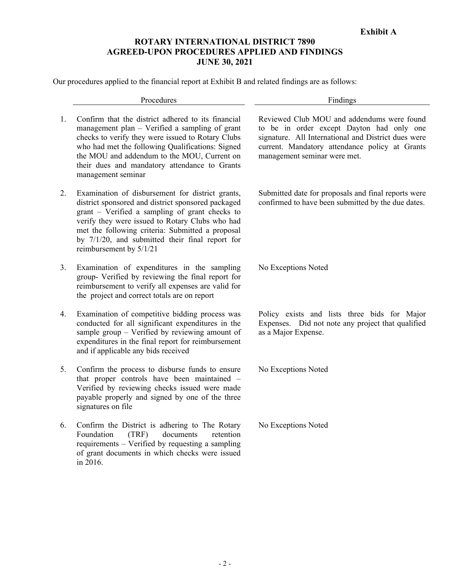## **ROTARY INTERNATIONAL DISTRICT 7890 AGREED-UPON PROCEDURES APPLIED AND FINDINGS JUNE 30, 2021**

Our procedures applied to the financial report at Exhibit B and related findings are as follows:

|    | Procedures                                                                                                                                                                                                                                                                                                                                    | Findings                                                                                                                                                                                                                         |
|----|-----------------------------------------------------------------------------------------------------------------------------------------------------------------------------------------------------------------------------------------------------------------------------------------------------------------------------------------------|----------------------------------------------------------------------------------------------------------------------------------------------------------------------------------------------------------------------------------|
| 1. | Confirm that the district adhered to its financial<br>management plan - Verified a sampling of grant<br>checks to verify they were issued to Rotary Clubs<br>who had met the following Qualifications: Signed<br>the MOU and addendum to the MOU, Current on<br>their dues and mandatory attendance to Grants<br>management seminar           | Reviewed Club MOU and addendums were found<br>to be in order except Dayton had only one<br>signature. All International and District dues were<br>current. Mandatory attendance policy at Grants<br>management seminar were met. |
| 2. | Examination of disbursement for district grants,<br>district sponsored and district sponsored packaged<br>grant - Verified a sampling of grant checks to<br>verify they were issued to Rotary Clubs who had<br>met the following criteria: Submitted a proposal<br>by 7/1/20, and submitted their final report for<br>reimbursement by 5/1/21 | Submitted date for proposals and final reports were<br>confirmed to have been submitted by the due dates.                                                                                                                        |
| 3. | Examination of expenditures in the sampling<br>group- Verified by reviewing the final report for<br>reimbursement to verify all expenses are valid for<br>the project and correct totals are on report                                                                                                                                        | No Exceptions Noted                                                                                                                                                                                                              |
| 4. | Examination of competitive bidding process was<br>conducted for all significant expenditures in the<br>sample group - Verified by reviewing amount of<br>expenditures in the final report for reimbursement<br>and if applicable any bids received                                                                                            | Policy exists and lists three bids for Major<br>Expenses. Did not note any project that qualified<br>as a Major Expense.                                                                                                         |
| 5. | Confirm the process to disburse funds to ensure<br>that proper controls have been maintained -<br>Verified by reviewing checks issued were made<br>payable properly and signed by one of the three<br>signatures on file                                                                                                                      | No Exceptions Noted                                                                                                                                                                                                              |
| 6. | Confirm the District is adhering to The Rotary<br>Foundation<br>(TRF)<br>documents<br>retention<br>requirements - Verified by requesting a sampling<br>of grant documents in which checks were issued<br>in 2016.                                                                                                                             | No Exceptions Noted                                                                                                                                                                                                              |
|    |                                                                                                                                                                                                                                                                                                                                               |                                                                                                                                                                                                                                  |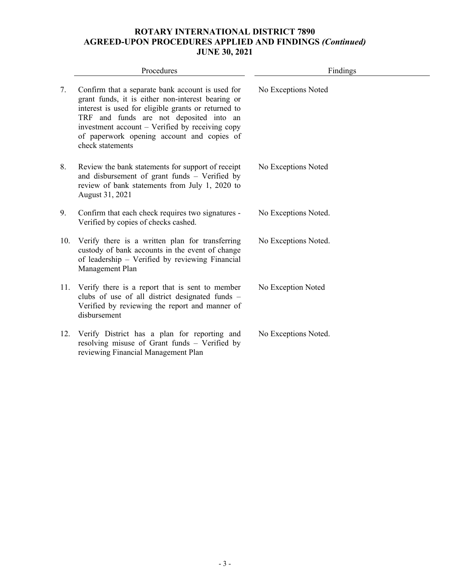# **ROTARY INTERNATIONAL DISTRICT 7890 AGREED-UPON PROCEDURES APPLIED AND FINDINGS** *(Continued)* **JUNE 30, 2021**

|     | Procedures                                                                                                                                                                                                                                                                                                                   | Findings             |
|-----|------------------------------------------------------------------------------------------------------------------------------------------------------------------------------------------------------------------------------------------------------------------------------------------------------------------------------|----------------------|
| 7.  | Confirm that a separate bank account is used for<br>grant funds, it is either non-interest bearing or<br>interest is used for eligible grants or returned to<br>TRF and funds are not deposited into an<br>investment account – Verified by receiving copy<br>of paperwork opening account and copies of<br>check statements | No Exceptions Noted  |
| 8.  | Review the bank statements for support of receipt<br>and disbursement of grant funds - Verified by<br>review of bank statements from July 1, 2020 to<br>August 31, 2021                                                                                                                                                      | No Exceptions Noted  |
| 9.  | Confirm that each check requires two signatures -<br>Verified by copies of checks cashed.                                                                                                                                                                                                                                    | No Exceptions Noted. |
| 10. | Verify there is a written plan for transferring<br>custody of bank accounts in the event of change<br>of leadership - Verified by reviewing Financial<br>Management Plan                                                                                                                                                     | No Exceptions Noted. |
| 11. | Verify there is a report that is sent to member<br>clubs of use of all district designated funds -<br>Verified by reviewing the report and manner of<br>disbursement                                                                                                                                                         | No Exception Noted   |
| 12. | Verify District has a plan for reporting and<br>resolving misuse of Grant funds - Verified by<br>reviewing Financial Management Plan                                                                                                                                                                                         | No Exceptions Noted. |